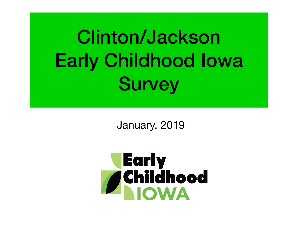Clinton/Jackson Early Childhood Iowa **Survey** 

January, 2019

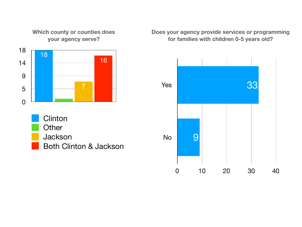**Which county or counties does your agency serve?**



- **Clinton Other** Jackson
	- Both Clinton & Jackson

#### **Does your agency provide services or programming for families with children 0-5 years old?**

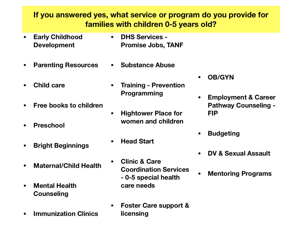## **If you answered yes, what service or program do you provide for families with children 0-5 years old?**

- **• Early Childhood Development**
- **• Parenting Resources**
- **• Child care**
- **• Free books to children**
- **• Preschool**
- **• Bright Beginnings**
- **• Maternal/Child Health**
- **• Mental Health Counseling**
- **• Immunization Clinics**
- **• DHS Services Promise Jobs, TANF**
- **• Substance Abuse**
- **• Training Prevention Programming**
- **• Hightower Place for women and children**
- **• Head Start** 
	- **• Clinic & Care Coordination Services - 0-5 special health care needs**
- **• Foster Care support & licensing**
- **• OB/GYN**
- **• Employment & Career Pathway Counseling - FIP**
- **• Budgeting**
- **• DV & Sexual Assault**
- **• Mentoring Programs**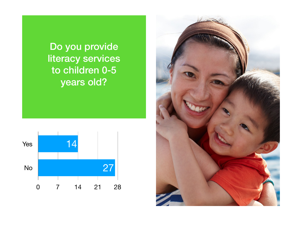Do you provide literacy services literacy services to children 0-5 years old? Do you provide to children 0-5



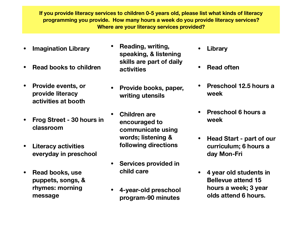**If you provide literacy services to children 0-5 years old, please list what kinds of literacy programming you provide. How many hours a week do you provide literacy services? Where are your literacy services provided?**

- **• Imagination Library**
- **• Read books to children**
- **• Provide events, or provide literacy activities at booth**
- **• Frog Street 30 hours in classroom**
- **• Literacy activities everyday in preschool**
- **• Read books, use puppets, songs, & rhymes: morning message**
- **• Reading, writing, speaking, & listening skills are part of daily activities**
- **• Provide books, paper, writing utensils**
- **• Children are encouraged to communicate using words; listening & following directions**
- **• Services provided in child care**
- **• 4-year-old preschool program-90 minutes**
- **• Library**
- **• Read often**
- **• Preschool 12.5 hours a week**
- **• Preschool 6 hours a week**
- **• Head Start part of our curriculum; 6 hours a day Mon-Fri**
- **• 4 year old students in Bellevue attend 15 hours a week; 3 year olds attend 6 hours.**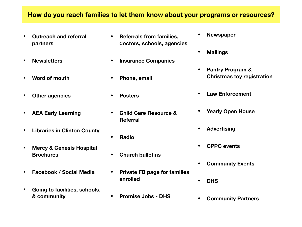#### **How do you reach families to let them know about your programs or resources?**

- **• Outreach and referral partners**
- **• Newsletters**
- **• Word of mouth**
- **• Other agencies**
- **• AEA Early Learning**
- **• Libraries in Clinton County**
- **• Mercy & Genesis Hospital Brochures**
- **• Facebook / Social Media**
- **• Going to facilities, schools, & community**
- **• Referrals from families, doctors, schools, agencies**
- **• Insurance Companies**
- **• Phone, email**
- **• Posters**
- **• Child Care Resource & Referral**
- **• Radio**
- **• Church bulletins**
- **• Private FB page for families enrolled**
- **• Promise Jobs DHS**
- **• Newspaper**
- **• Mailings**
- **• Pantry Program & Christmas toy registration**
- **• Law Enforcement**
- **• Yearly Open House**
- **• Advertising**
- **• CPPC events**
- **• Community Events**
- **• DHS**
- **• Community Partners**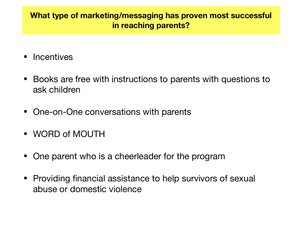## **What type of marketing/messaging has proven most successful in reaching parents?**

- Incentives
- Books are free with instructions to parents with questions to ask children
- One-on-One conversations with parents
- WORD of MOUTH
- One parent who is a cheerleader for the program
- Providing financial assistance to help survivors of sexual abuse or domestic violence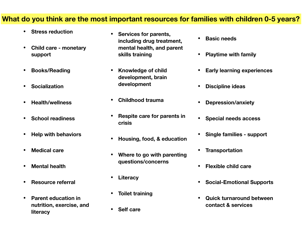#### **What do you think are the most important resources for families with children 0-5 years?**

- **• Stress reduction**
- **• Child care monetary support**
- **• Books/Reading**
- **• Socialization**
- **• Health/wellness**
- **• School readiness**
- **• Help with behaviors**
- **• Medical care**
- **• Mental health**
- **• Resource referral**
- **• Parent education in nutrition, exercise, and literacy**
- **• Services for parents, including drug treatment, mental health, and parent skills training**
- **• Knowledge of child development, brain development**
- **• Childhood trauma**
- **• Respite care for parents in crisis**
- **• Housing, food, & education**
- **• Where to go with parenting questions/concerns**
- **• Literacy**
- **• Toilet training**
- **• Self care**
- **• Basic needs**
- **• Playtime with family**
- **• Early learning experiences**
- **• Discipline ideas**
- **• Depression/anxiety**
- **• Special needs access**
- **• Single families support**
- **• Transportation**
- **• Flexible child care**
- **• Social-Emotional Supports**
- **• Quick turnaround between contact & services**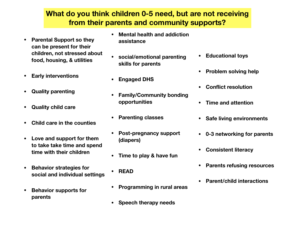## **What do you think children 0-5 need, but are not receiving from their parents and community supports?**

- **• Parental Support so they can be present for their children, not stressed about food, housing, & utilities**
- **• Early interventions**
- **• Quality parenting**
- **• Quality child care**
- **• Child care in the counties**
- **• Love and support for them to take take time and spend time with their children**
- **• Behavior strategies for social and individual settings**
- **• Behavior supports for parents**
- **• Mental health and addiction assistance**
- **• social/emotional parenting skills for parents**
- **• Engaged DHS**
- **• Family/Community bonding opportunities**
- **• Parenting classes**
- **• Post-pregnancy support (diapers)**
- **• Time to play & have fun**
- **• READ**
- **• Programming in rural areas**
- **• Speech therapy needs**
- **• Educational toys**
- **• Problem solving help**
- **• Conflict resolution**
- **• Time and attention**
- **• Safe living environments**
- **• 0-3 networking for parents**
- **• Consistent literacy**
- **• Parents refusing resources**
- **• Parent/child interactions**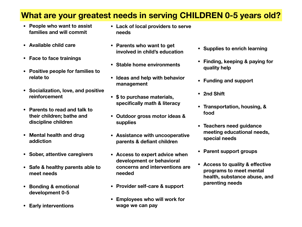# **What are your greatest needs in serving CHILDREN 0-5 years old?**

- **• People who want to assist families and will commit**
- **• Available child care**
- **• Face to face trainings**
- **• Positive people for families to relate to**
- **• Socialization, love, and positive reinforcement**
- **• Parents to read and talk to their children; bathe and discipline children**
- **• Mental health and drug addiction**
- **• Sober, attentive caregivers**
- **• Safe & healthy parents able to meet needs**
- **• Bonding & emotional development 0-5**
- **• Early interventions**
- **• Lack of local providers to serve needs**
- **• Parents who want to get involved in child's education**
- **• Stable home environments**
- **• Ideas and help with behavior management**
- **• \$ to purchase materials, specifically math & literacy**
- **• Outdoor gross motor ideas & supplies**
- **• Assistance with uncooperative parents & defiant children**
- **• Access to expert advice when development or behavioral concerns and interventions are needed**
- **• Provider self-care & support**
- **• Employees who will work for wage we can pay**
- **• Supplies to enrich learning**
- **• Finding, keeping & paying for quality help**
- **• Funding and support**
- **• 2nd Shift**
- **• Transportation, housing, & food**
- **• Teachers need guidance meeting educational needs, special needs**
- **• Parent support groups**
- **• Access to quality & effective programs to meet mental health, substance abuse, and parenting needs**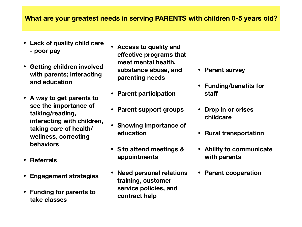### **What are your greatest needs in serving PARENTS with children 0-5 years old?**

- **• Lack of quality child care - poor pay**
- **• Getting children involved with parents; interacting and education**
- **• A way to get parents to see the importance of talking/reading, interacting with children, taking care of health/ wellness, correcting behaviors**
- **• Referrals**
- **• Engagement strategies**
- **• Funding for parents to take classes**
- **• Access to quality and effective programs that meet mental health, substance abuse, and parenting needs**
- **• Parent participation**
- **• Parent support groups**
- **• Showing importance of education**
- **• \$ to attend meetings & appointments**
- **• Need personal relations training, customer service policies, and contract help**
- **• Parent survey**
- **• Funding/benefits for staff**
- **• Drop in or crises childcare**
- **• Rural transportation**
- **• Ability to communicate with parents**
- **• Parent cooperation**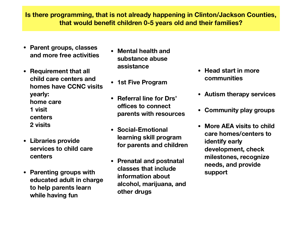**Is there programming, that is not already happening in Clinton/Jackson Counties, that would benefit children 0-5 years old and their families?**

- **• Parent groups, classes and more free activities**
- **• Requirement that all child care centers and homes have CCNC visits yearly: home care 1 visit centers 2 visits**
- **• Libraries provide services to child care centers**
- **• Parenting groups with educated adult in charge to help parents learn while having fun**
- **• Mental health and substance abuse assistance**
- **• 1st Five Program**
- **• Referral line for Drs' offices to connect parents with resources**
- **• Social-Emotional learning skill program for parents and children**
- **• Prenatal and postnatal classes that include information about alcohol, marijuana, and other drugs**
- **• Head start in more communities**
- **• Autism therapy services**
- **• Community play groups**
- **• More AEA visits to child care homes/centers to identify early development, check milestones, recognize needs, and provide support**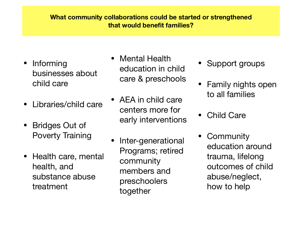### **What community collaborations could be started or strengthened that would benefit families?**

- **Informing** businesses about child care
- Libraries/child care
- Bridges Out of Poverty Training
- Health care, mental health, and substance abuse treatment
- Mental Health education in child care & preschools
- AEA in child care centers more for early interventions
- Inter-generational Programs; retired community members and preschoolers together
- Support groups
- Family nights open to all families
- Child Care
- **Community** education around trauma, lifelong outcomes of child abuse/neglect, how to help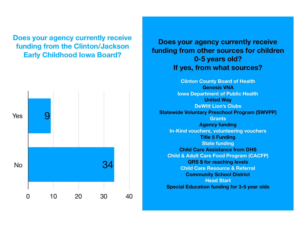**Does your agency currently receive funding from the Clinton/Jackson Early Childhood Iowa Board?**



## **Does your agency currently receive funding from other sources for children 0-5 years old? If yes, from what sources?**

**Clinton County Board of Health Genesis VNA Iowa Department of Public Health United Way DeWitt Lion's Clubs Statewide Voluntary Preschool Program (SWVPP) Grants Agency funding In-Kind vouchers, volunteering vouchers Title 5 Funding State funding Child Care Assistance from DHS Child & Adult Care Food Program (CACFP) QRS \$ for reaching levels Child Care Resource & Referral Community School District Head Start Special Education funding for 3-5 year olds**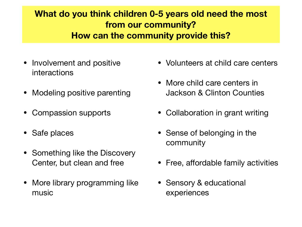# **What do you think children 0-5 years old need the most from our community? How can the community provide this?**

- Involvement and positive interactions
- Modeling positive parenting
- Compassion supports
- Safe places
- Something like the Discovery Center, but clean and free
- More library programming like music
- Volunteers at child care centers
- More child care centers in Jackson & Clinton Counties
- Collaboration in grant writing
- Sense of belonging in the community
- Free, affordable family activities
- Sensory & educational experiences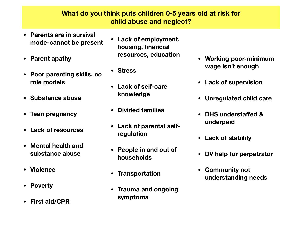### **What do you think puts children 0-5 years old at risk for child abuse and neglect?**

- **• Parents are in survival mode-cannot be present**
- **• Parent apathy**
- **• Poor parenting skills, no role models**
- **• Substance abuse**
- **• Teen pregnancy**
- **• Lack of resources**
- **• Mental health and substance abuse**
- **• Violence**
- **• Poverty**
- **• First aid/CPR**
- **• Lack of employment, housing, financial resources, education**
- **• Stress**
- **• Lack of self-care knowledge**
- **• Divided families**
- **• Lack of parental selfregulation**
- **• People in and out of households**
- **• Transportation**
- **• Trauma and ongoing symptoms**
- **• Working poor-minimum wage isn't enough**
- **• Lack of supervision**
- **• Unregulated child care**
- **• DHS understaffed & underpaid**
- **• Lack of stability**
- **• DV help for perpetrator**
- **• Community not understanding needs**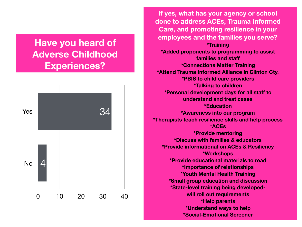# **Have you heard of Adverse Childhood Experiences?**



**If yes, what has your agency or school done to address ACEs, Trauma Informed Care, and promoting resilience in your employees and the families you serve? \*Training \*Added proponents to programming to assist families and staff \*Connections Matter Training \*Attend Trauma Informed Alliance in Clinton Cty. \*PBIS to child care providers \*Talking to children \*Personal development days for all staff to understand and treat cases \*Education \*Awareness into our program \*Therapists teach resilience skills and help process \*ACEs \*Provide mentoring \*Discuss with families & educators \*Provide informational on ACEs & Resiliency \*Workshops \*Provide educational materials to read \*Importance of relationships \*Youth Mental Health Training \*Small group education and discussion \*State-level training being developedwill roll out requirements \*Help parents \*Understand ways to help \*Social-Emotional Screener**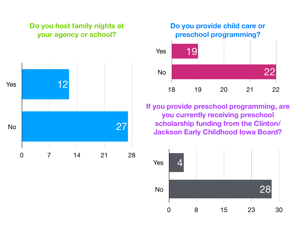## **Do you host family nights at your agency or school?**



## **Do you provide child care or preschool programming?**



**If you provide preschool programming, are you currently receiving preschool scholarship funding from the Clinton/ Jackson Early Childhood Iowa Board?**

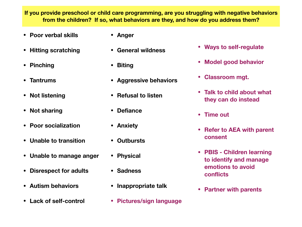**If you provide preschool or child care programming, are you struggling with negative behaviors from the children? If so, what behaviors are they, and how do you address them?**

- **• Poor verbal skills**
- **• Hitting scratching**
- **• Pinching**
- **• Tantrums**
- **• Not listening**
- **• Not sharing**
- **• Poor socialization**
- **• Unable to transition**
- **• Unable to manage anger**
- **• Disrespect for adults**
- **• Autism behaviors**
- **• Lack of self-control**
- **• Anger**
- **• General wildness**
- **• Biting**
- **• Aggressive behaviors**
- **• Refusal to listen**
- **• Defiance**
- **• Anxiety**
- **• Outbursts**
- **• Physical**
- **• Sadness**
- **• Inappropriate talk**
- **• Pictures/sign language**
- **• Ways to self-regulate**
- **• Model good behavior**
- **• Classroom mgt.**
- **• Talk to child about what they can do instead**
- **• Time out**
- **• Refer to AEA with parent consent**
- **• PBIS Children learning to identify and manage emotions to avoid conflicts**
- **• Partner with parents**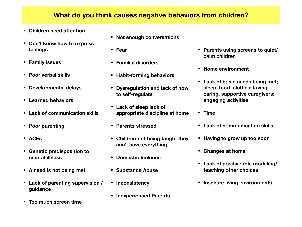#### **What do you think causes negative behaviors from children?**

- **• Children need attention**
- **• Don't know how to express feelings**
- **• Family issues**
- **• Poor verbal skills**
- **• Developmental delays**
- **• Learned behaviors**
- **• Lack of communication skills**
- **• Poor parenting**
- **• ACEs**
- **• Genetic predisposition to mental illness**
- **• A need is not being met**
- **• Lack of parenting supervision / guidance**
- **• Too much screen time**
- **• Not enough conversations**
- **• Fear**
- **• Familial disorders**
- **• Habit-forming behaviors**
- **• Dysregulation and lack of how to self-regulate**
- **• Lack of sleep lack of appropriate discipline at home**
- **• Parents stressed**
- **• Children not being taught they can't have everything**
- **• Domestic Violence**
- **• Substance Abuse**
- **• Inconsistency**
- **• Inexperienced Parents**
- **• Parents using screens to quiet/ calm children**
- **• Home environment**
- **• Lack of basic needs being met; sleep, food, clothes; loving, caring, supportive caregivers; engaging activities**
- **• Time**
- **• Lack of communication skills**
- **• Having to grow up too soon**
- **• Changes at home**
- **• Lack of positive role modeling/ teaching other choices**
- **• Insecure living environments**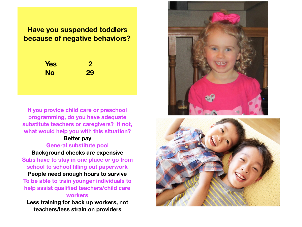## **Have you suspended toddlers because of negative behaviors?**

**Yes 2 No 29**

**If you provide child care or preschool programming, do you have adequate substitute teachers or caregivers? If not, what would help you with this situation?** 

#### **Better pay General substitute pool**

**Background checks are expensive Subs have to stay in one place or go from school to school filling out paperwork** 

**People need enough hours to survive To be able to train younger individuals to help assist qualified teachers/child care workers** 

**Less training for back up workers, not teachers/less strain on providers**



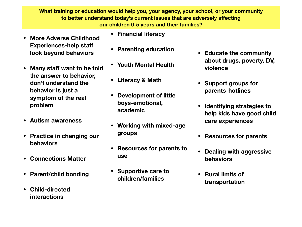**What training or education would help you, your agency, your school, or your community to better understand today's current issues that are adversely affecting our children 0-5 years and their families?**

- **• More Adverse Childhood Experiences-help staff look beyond behaviors**
- **• Many staff want to be told the answer to behavior, don't understand the behavior is just a symptom of the real problem**
- **• Autism awareness**
- **• Practice in changing our behaviors**
- **• Connections Matter**
- **• Parent/child bonding**
- **• Child-directed interactions**
- **• Financial literacy**
- **• Parenting education**
- **• Youth Mental Health**
- **• Literacy & Math**
- **• Development of little boys-emotional, academic**
- **• Working with mixed-age groups**
- **• Resources for parents to use**
- **• Supportive care to children/families**
- **• Educate the community about drugs, poverty, DV, violence**
- **• Support groups for parents-hotlines**
- **• Identifying strategies to help kids have good child care experiences**
- **• Resources for parents**
- **• Dealing with aggressive behaviors**
- **• Rural limits of transportation**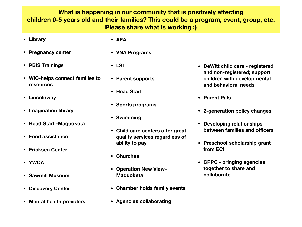**What is happening in our community that is positively affecting children 0-5 years old and their families? This could be a program, event, group, etc. Please share what is working :)**

- **• Library**
- **• Pregnancy center**
- **• PBIS Trainings**
- **• WIC-helps connect families to resources**
- **• Lincolnway**
- **• Imagination library**
- **• Head Start -Maquoketa**
- **• Food assistance**
- **• Ericksen Center**
- **• YWCA**
- **• Sawmill Museum**
- **• Discovery Center**
- **• Mental health providers**
- **• AEA**
- **• VNA Programs**
- **• LSI**
- **• Parent supports**
- **• Head Start**
- **• Sports programs**
- **• Swimming**
- **• Child care centers offer great quality services regardless of ability to pay**
- **• Churches**
- **• Operation New View-Maquoketa**
- **• Chamber holds family events**
- **• Agencies collaborating**
- **• DeWitt child care registered and non-registered; support children with developmental and behavioral needs**
- **• Parent Pals**
- **• 2-generation policy changes**
- **• Developing relationships between families and officers**
- **• Preschool scholarship grant from ECI**
- **• CPPC bringing agencies together to share and collaborate**